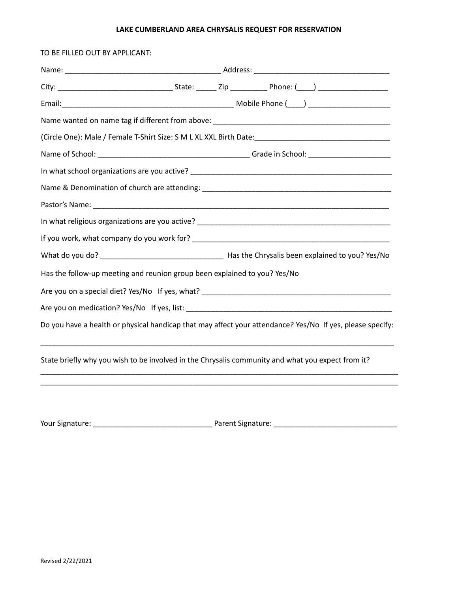## **LAKE CUMBERLAND AREA CHRYSALIS REQUEST FOR RESERVATION**

| TO BE FILLED OUT BY APPLICANT: |                                                                                                                       |  |  |
|--------------------------------|-----------------------------------------------------------------------------------------------------------------------|--|--|
|                                |                                                                                                                       |  |  |
|                                |                                                                                                                       |  |  |
|                                |                                                                                                                       |  |  |
|                                |                                                                                                                       |  |  |
|                                | (Circle One): Male / Female T-Shirt Size: S M L XL XXL Birth Date:__________________________________                  |  |  |
|                                |                                                                                                                       |  |  |
|                                |                                                                                                                       |  |  |
|                                |                                                                                                                       |  |  |
|                                |                                                                                                                       |  |  |
|                                |                                                                                                                       |  |  |
|                                |                                                                                                                       |  |  |
|                                |                                                                                                                       |  |  |
|                                | Has the follow-up meeting and reunion group been explained to you? Yes/No                                             |  |  |
|                                |                                                                                                                       |  |  |
|                                |                                                                                                                       |  |  |
|                                | Do you have a health or physical handicap that may affect your attendance? Yes/No If yes, please specify:             |  |  |
|                                | State briefly why you wish to be involved in the Chrysalis community and what you expect from it?                     |  |  |
|                                | <u> 1989 - Johann Stoff, deutscher Stoff, der Stoff, der Stoff, der Stoff, der Stoff, der Stoff, der Stoff, der S</u> |  |  |
|                                |                                                                                                                       |  |  |
|                                |                                                                                                                       |  |  |

Your Signature: \_\_\_\_\_\_\_\_\_\_\_\_\_\_\_\_\_\_\_\_\_\_\_\_\_\_\_\_\_ Parent Signature: \_\_\_\_\_\_\_\_\_\_\_\_\_\_\_\_\_\_\_\_\_\_\_\_\_\_\_\_\_\_